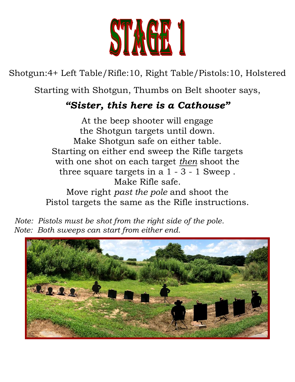

Shotgun:4+ Left Table/Rifle:10, Right Table/Pistols:10, Holstered

Starting with Shotgun, Thumbs on Belt shooter says,

#### *"Sister, this here is a Cathouse"*

At the beep shooter will engage the Shotgun targets until down. Make Shotgun safe on either table. Starting on either end sweep the Rifle targets with one shot on each target *then* shoot the three square targets in a 1 - 3 - 1 Sweep . Make Rifle safe. Move right *past the pole* and shoot the

Pistol targets the same as the Rifle instructions.

 *Note: Pistols must be shot from the right side of the pole. Note: Both sweeps can start from either end.*

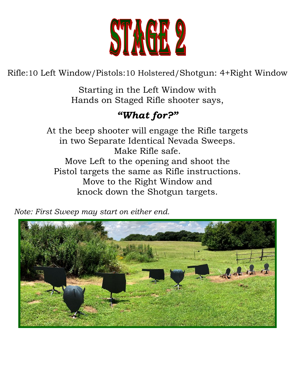

Rifle:10 Left Window/Pistols:10 Holstered/Shotgun: 4+Right Window

Starting in the Left Window with Hands on Staged Rifle shooter says,

# *"What for?"*

At the beep shooter will engage the Rifle targets in two Separate Identical Nevada Sweeps. Make Rifle safe. Move Left to the opening and shoot the Pistol targets the same as Rifle instructions. Move to the Right Window and knock down the Shotgun targets.

 *Note: First Sweep may start on either end.*

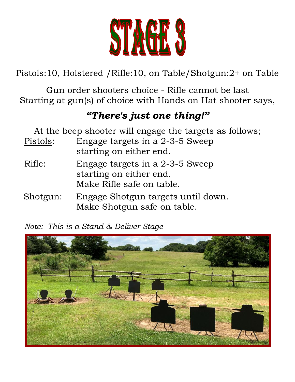

Pistols:10, Holstered /Rifle:10, on Table/Shotgun:2+ on Table

Gun order shooters choice - Rifle cannot be last Starting at gun(s) of choice with Hands on Hat shooter says,

## *"There's just one thing!"*

| At the beep shooter will engage the targets as follows; |                                                                                         |  |
|---------------------------------------------------------|-----------------------------------------------------------------------------------------|--|
| Pistols:                                                | Engage targets in a 2-3-5 Sweep<br>starting on either end.                              |  |
| Rifle:                                                  | Engage targets in a 2-3-5 Sweep<br>starting on either end.<br>Make Rifle safe on table. |  |
| Shotgun:                                                | Engage Shotgun targets until down.<br>Make Shotgun safe on table.                       |  |

*Note: This is a Stand & Deliver Stage*

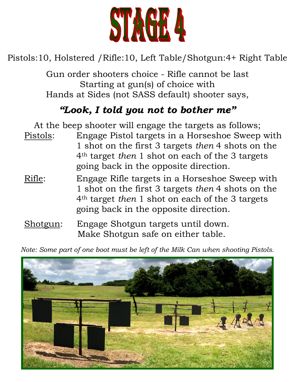

### Pistols:10, Holstered /Rifle:10, Left Table/Shotgun:4+ Right Table

Gun order shooters choice - Rifle cannot be last Starting at gun(s) of choice with Hands at Sides (not SASS default) shooter says,

# *"Look, I told you not to bother me"*

- At the beep shooter will engage the targets as follows; Pistols: Engage Pistol targets in a Horseshoe Sweep with 1 shot on the first 3 targets *then* 4 shots on the 4th target *then* 1 shot on each of the 3 targets going back in the opposite direction.
- Rifle: Engage Rifle targets in a Horseshoe Sweep with 1 shot on the first 3 targets *then* 4 shots on the 4th target *then* 1 shot on each of the 3 targets going back in the opposite direction.
- Shotgun: Engage Shotgun targets until down. Make Shotgun safe on either table.

*Note: Some part of one boot must be left of the Milk Can when shooting Pistols.*

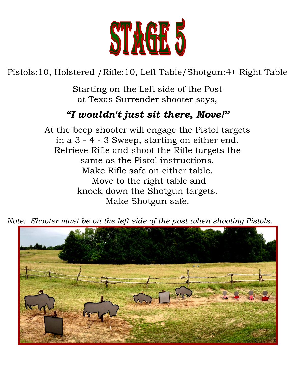

# Pistols:10, Holstered /Rifle:10, Left Table/Shotgun:4+ Right Table

Starting on the Left side of the Post at Texas Surrender shooter says,

## *"I wouldn't just sit there, Move!"*

At the beep shooter will engage the Pistol targets in a 3 - 4 - 3 Sweep, starting on either end. Retrieve Rifle and shoot the Rifle targets the same as the Pistol instructions. Make Rifle safe on either table. Move to the right table and knock down the Shotgun targets. Make Shotgun safe.



*Note: Shooter must be on the left side of the post when shooting Pistols.*